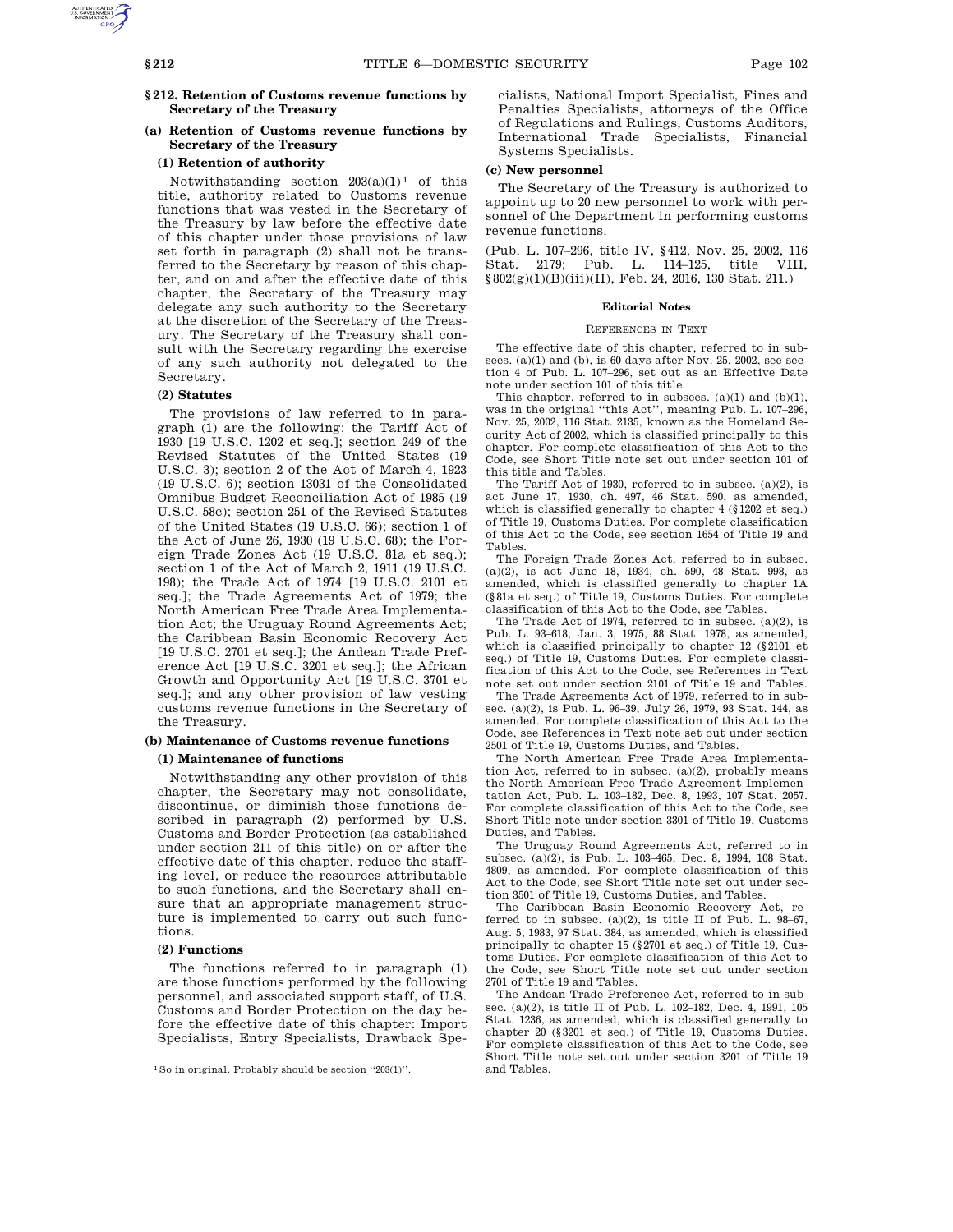# **§ 212. Retention of Customs revenue functions by Secretary of the Treasury**

# **(a) Retention of Customs revenue functions by Secretary of the Treasury**

# **(1) Retention of authority**

Notwithstanding section  $203(a)(1)^1$  of this title, authority related to Customs revenue functions that was vested in the Secretary of the Treasury by law before the effective date of this chapter under those provisions of law set forth in paragraph (2) shall not be transferred to the Secretary by reason of this chapter, and on and after the effective date of this chapter, the Secretary of the Treasury may delegate any such authority to the Secretary at the discretion of the Secretary of the Treasury. The Secretary of the Treasury shall consult with the Secretary regarding the exercise of any such authority not delegated to the Secretary.

# **(2) Statutes**

The provisions of law referred to in paragraph (1) are the following: the Tariff Act of 1930 [19 U.S.C. 1202 et seq.]; section 249 of the Revised Statutes of the United States (19 U.S.C. 3); section 2 of the Act of March 4, 1923 (19 U.S.C. 6); section 13031 of the Consolidated Omnibus Budget Reconciliation Act of 1985 (19 U.S.C. 58c); section 251 of the Revised Statutes of the United States (19 U.S.C. 66); section 1 of the Act of June 26, 1930 (19 U.S.C. 68); the Foreign Trade Zones Act (19 U.S.C. 81a et seq.); section 1 of the Act of March 2, 1911 (19 U.S.C. 198); the Trade Act of 1974 [19 U.S.C. 2101 et seq.]; the Trade Agreements Act of 1979; the North American Free Trade Area Implementation Act; the Uruguay Round Agreements Act; the Caribbean Basin Economic Recovery Act [19 U.S.C. 2701 et seq.]; the Andean Trade Preference Act [19 U.S.C. 3201 et seq.]; the African Growth and Opportunity Act [19 U.S.C. 3701 et seq.]; and any other provision of law vesting customs revenue functions in the Secretary of the Treasury.

# **(b) Maintenance of Customs revenue functions**

# **(1) Maintenance of functions**

Notwithstanding any other provision of this chapter, the Secretary may not consolidate, discontinue, or diminish those functions described in paragraph (2) performed by U.S. Customs and Border Protection (as established under section 211 of this title) on or after the effective date of this chapter, reduce the staffing level, or reduce the resources attributable to such functions, and the Secretary shall ensure that an appropriate management structure is implemented to carry out such functions.

# **(2) Functions**

The functions referred to in paragraph (1) are those functions performed by the following personnel, and associated support staff, of U.S. Customs and Border Protection on the day before the effective date of this chapter: Import Specialists, Entry Specialists, Drawback Specialists, National Import Specialist, Fines and Penalties Specialists, attorneys of the Office of Regulations and Rulings, Customs Auditors, International Trade Specialists, Financial Systems Specialists.

# **(c) New personnel**

The Secretary of the Treasury is authorized to appoint up to 20 new personnel to work with personnel of the Department in performing customs revenue functions.

(Pub. L. 107–296, title IV, §412, Nov. 25, 2002, 116 Stat. 2179; Pub. L. 114–125, title VIII, §802(g)(1)(B)(iii)(II), Feb. 24, 2016, 130 Stat. 211.)

# **Editorial Notes**

#### REFERENCES IN TEXT

The effective date of this chapter, referred to in subsecs. (a)(1) and (b), is 60 days after Nov. 25, 2002, see section 4 of Pub. L. 107–296, set out as an Effective Date note under section 101 of this title.

This chapter, referred to in subsecs. (a)(1) and (b)(1), was in the original ''this Act'', meaning Pub. L. 107–296, Nov. 25, 2002, 116 Stat. 2135, known as the Homeland Security Act of 2002, which is classified principally to this chapter. For complete classification of this Act to the Code, see Short Title note set out under section 101 of this title and Tables.

The Tariff Act of 1930, referred to in subsec. (a)(2), is act June 17, 1930, ch. 497, 46 Stat. 590, as amended, which is classified generally to chapter 4 (§1202 et seq.) of Title 19, Customs Duties. For complete classification of this Act to the Code, see section 1654 of Title 19 and Tables.

The Foreign Trade Zones Act, referred to in subsec. (a)(2), is act June 18, 1934, ch. 590, 48 Stat. 998, as amended, which is classified generally to chapter 1A (§81a et seq.) of Title 19, Customs Duties. For complete classification of this Act to the Code, see Tables.

The Trade Act of 1974, referred to in subsec. (a)(2), is Pub. L. 93–618, Jan. 3, 1975, 88 Stat. 1978, as amended, which is classified principally to chapter 12 (§2101 et seq.) of Title 19, Customs Duties. For complete classification of this Act to the Code, see References in Text note set out under section 2101 of Title 19 and Tables.

The Trade Agreements Act of 1979, referred to in subsec. (a)(2), is Pub. L. 96–39, July 26, 1979, 93 Stat. 144, as amended. For complete classification of this Act to the Code, see References in Text note set out under section 2501 of Title 19, Customs Duties, and Tables.

The North American Free Trade Area Implementation Act, referred to in subsec. (a)(2), probably means the North American Free Trade Agreement Implementation Act, Pub. L. 103–182, Dec. 8, 1993, 107 Stat. 2057. For complete classification of this Act to the Code, see Short Title note under section 3301 of Title 19, Customs Duties, and Tables.

The Uruguay Round Agreements Act, referred to in subsec. (a)(2), is Pub. L. 103–465, Dec. 8, 1994, 108 Stat. 4809, as amended. For complete classification of this Act to the Code, see Short Title note set out under section 3501 of Title 19, Customs Duties, and Tables.

The Caribbean Basin Economic Recovery Act, referred to in subsec.  $(a)(2)$ , is title II of Pub. L. 98-67, Aug. 5, 1983, 97 Stat. 384, as amended, which is classified principally to chapter 15 (§2701 et seq.) of Title 19, Customs Duties. For complete classification of this Act to the Code, see Short Title note set out under section 2701 of Title 19 and Tables.

The Andean Trade Preference Act, referred to in subsec. (a)(2), is title II of Pub. L. 102–182, Dec. 4, 1991, 105 Stat. 1236, as amended, which is classified generally to chapter 20 (§3201 et seq.) of Title 19, Customs Duties. For complete classification of this Act to the Code, see Short Title note set out under section 3201 of Title 19 and Tables.

<sup>1</sup>So in original. Probably should be section ''203(1)''.